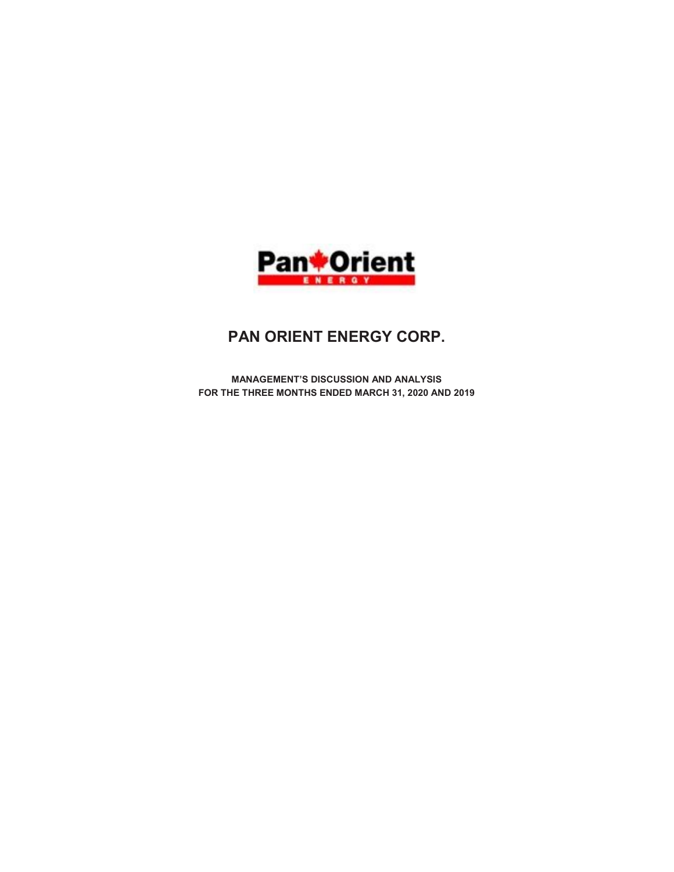

# PAN ORIENT ENERGY CORP.

MANAGEMENT'S DISCUSSION AND ANALYSIS FOR THE THREE MONTHS ENDED MARCH 31, 2020 AND 2019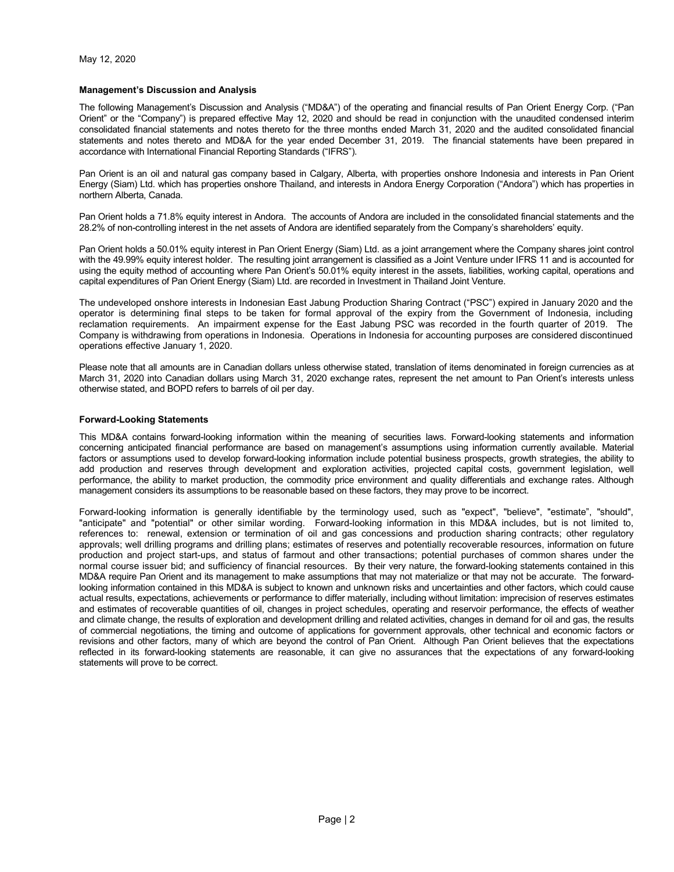## Management's Discussion and Analysis

The following Management's Discussion and Analysis ("MD&A") of the operating and financial results of Pan Orient Energy Corp. ("Pan Orient" or the "Company") is prepared effective May 12, 2020 and should be read in conjunction with the unaudited condensed interim consolidated financial statements and notes thereto for the three months ended March 31, 2020 and the audited consolidated financial statements and notes thereto and MD&A for the year ended December 31, 2019. The financial statements have been prepared in accordance with International Financial Reporting Standards ("IFRS").

Pan Orient is an oil and natural gas company based in Calgary, Alberta, with properties onshore Indonesia and interests in Pan Orient Energy (Siam) Ltd. which has properties onshore Thailand, and interests in Andora Energy Corporation ("Andora") which has properties in northern Alberta, Canada.

Pan Orient holds a 71.8% equity interest in Andora. The accounts of Andora are included in the consolidated financial statements and the 28.2% of non-controlling interest in the net assets of Andora are identified separately from the Company's shareholders' equity.

Pan Orient holds a 50.01% equity interest in Pan Orient Energy (Siam) Ltd. as a joint arrangement where the Company shares joint control with the 49.99% equity interest holder. The resulting joint arrangement is classified as a Joint Venture under IFRS 11 and is accounted for using the equity method of accounting where Pan Orient's 50.01% equity interest in the assets, liabilities, working capital, operations and capital expenditures of Pan Orient Energy (Siam) Ltd. are recorded in Investment in Thailand Joint Venture.

The undeveloped onshore interests in Indonesian East Jabung Production Sharing Contract ("PSC") expired in January 2020 and the operator is determining final steps to be taken for formal approval of the expiry from the Government of Indonesia, including reclamation requirements. An impairment expense for the East Jabung PSC was recorded in the fourth quarter of 2019. The Company is withdrawing from operations in Indonesia. Operations in Indonesia for accounting purposes are considered discontinued operations effective January 1, 2020.

Please note that all amounts are in Canadian dollars unless otherwise stated, translation of items denominated in foreign currencies as at March 31, 2020 into Canadian dollars using March 31, 2020 exchange rates, represent the net amount to Pan Orient's interests unless otherwise stated, and BOPD refers to barrels of oil per day.

#### Forward-Looking Statements

This MD&A contains forward-looking information within the meaning of securities laws. Forward-looking statements and information concerning anticipated financial performance are based on management's assumptions using information currently available. Material factors or assumptions used to develop forward-looking information include potential business prospects, growth strategies, the ability to add production and reserves through development and exploration activities, projected capital costs, government legislation, well performance, the ability to market production, the commodity price environment and quality differentials and exchange rates. Although management considers its assumptions to be reasonable based on these factors, they may prove to be incorrect.

Forward-looking information is generally identifiable by the terminology used, such as "expect", "believe", "estimate", "should", "anticipate" and "potential" or other similar wording. Forward-looking information in this MD&A includes, but is not limited to, references to: renewal, extension or termination of oil and gas concessions and production sharing contracts; other regulatory approvals; well drilling programs and drilling plans; estimates of reserves and potentially recoverable resources, information on future production and project start-ups, and status of farmout and other transactions; potential purchases of common shares under the normal course issuer bid; and sufficiency of financial resources. By their very nature, the forward-looking statements contained in this MD&A require Pan Orient and its management to make assumptions that may not materialize or that may not be accurate. The forwardlooking information contained in this MD&A is subject to known and unknown risks and uncertainties and other factors, which could cause actual results, expectations, achievements or performance to differ materially, including without limitation: imprecision of reserves estimates and estimates of recoverable quantities of oil, changes in project schedules, operating and reservoir performance, the effects of weather and climate change, the results of exploration and development drilling and related activities, changes in demand for oil and gas, the results of commercial negotiations, the timing and outcome of applications for government approvals, other technical and economic factors or revisions and other factors, many of which are beyond the control of Pan Orient. Although Pan Orient believes that the expectations reflected in its forward-looking statements are reasonable, it can give no assurances that the expectations of any forward-looking statements will prove to be correct.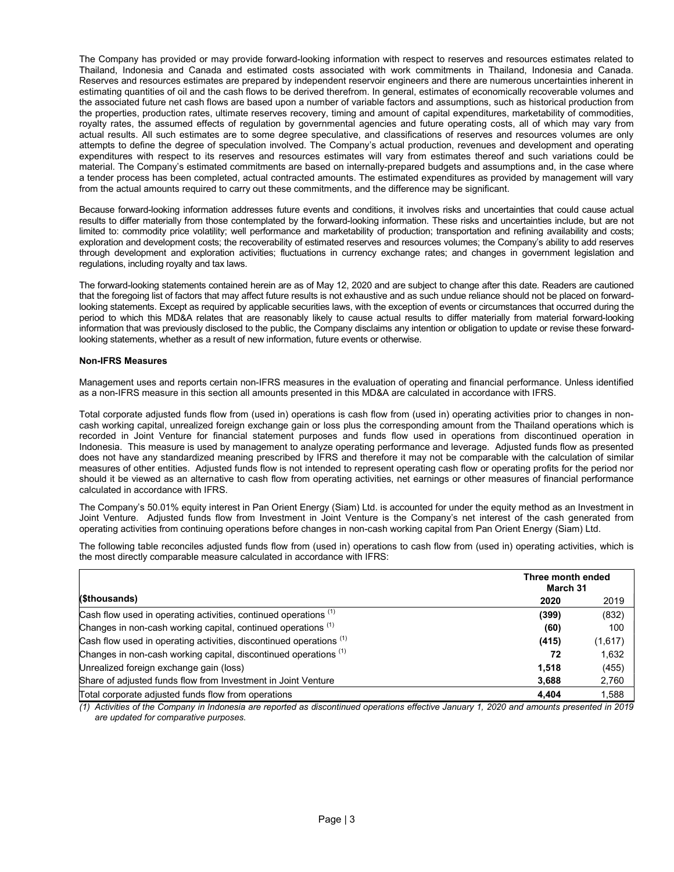The Company has provided or may provide forward-looking information with respect to reserves and resources estimates related to Thailand, Indonesia and Canada and estimated costs associated with work commitments in Thailand, Indonesia and Canada. Reserves and resources estimates are prepared by independent reservoir engineers and there are numerous uncertainties inherent in estimating quantities of oil and the cash flows to be derived therefrom. In general, estimates of economically recoverable volumes and the associated future net cash flows are based upon a number of variable factors and assumptions, such as historical production from the properties, production rates, ultimate reserves recovery, timing and amount of capital expenditures, marketability of commodities, royalty rates, the assumed effects of regulation by governmental agencies and future operating costs, all of which may vary from actual results. All such estimates are to some degree speculative, and classifications of reserves and resources volumes are only attempts to define the degree of speculation involved. The Company's actual production, revenues and development and operating expenditures with respect to its reserves and resources estimates will vary from estimates thereof and such variations could be material. The Company's estimated commitments are based on internally-prepared budgets and assumptions and, in the case where a tender process has been completed, actual contracted amounts. The estimated expenditures as provided by management will vary from the actual amounts required to carry out these commitments, and the difference may be significant.

Because forward-looking information addresses future events and conditions, it involves risks and uncertainties that could cause actual results to differ materially from those contemplated by the forward-looking information. These risks and uncertainties include, but are not limited to: commodity price volatility; well performance and marketability of production; transportation and refining availability and costs; exploration and development costs; the recoverability of estimated reserves and resources volumes; the Company's ability to add reserves through development and exploration activities; fluctuations in currency exchange rates; and changes in government legislation and regulations, including royalty and tax laws.

The forward-looking statements contained herein are as of May 12, 2020 and are subject to change after this date. Readers are cautioned that the foregoing list of factors that may affect future results is not exhaustive and as such undue reliance should not be placed on forwardlooking statements. Except as required by applicable securities laws, with the exception of events or circumstances that occurred during the period to which this MD&A relates that are reasonably likely to cause actual results to differ materially from material forward-looking information that was previously disclosed to the public, the Company disclaims any intention or obligation to update or revise these forwardlooking statements, whether as a result of new information, future events or otherwise.

## Non-IFRS Measures

Management uses and reports certain non-IFRS measures in the evaluation of operating and financial performance. Unless identified as a non-IFRS measure in this section all amounts presented in this MD&A are calculated in accordance with IFRS.

Total corporate adjusted funds flow from (used in) operations is cash flow from (used in) operating activities prior to changes in noncash working capital, unrealized foreign exchange gain or loss plus the corresponding amount from the Thailand operations which is recorded in Joint Venture for financial statement purposes and funds flow used in operations from discontinued operation in Indonesia. This measure is used by management to analyze operating performance and leverage. Adjusted funds flow as presented does not have any standardized meaning prescribed by IFRS and therefore it may not be comparable with the calculation of similar measures of other entities. Adjusted funds flow is not intended to represent operating cash flow or operating profits for the period nor should it be viewed as an alternative to cash flow from operating activities, net earnings or other measures of financial performance calculated in accordance with IFRS.

The Company's 50.01% equity interest in Pan Orient Energy (Siam) Ltd. is accounted for under the equity method as an Investment in Joint Venture. Adjusted funds flow from Investment in Joint Venture is the Company's net interest of the cash generated from operating activities from continuing operations before changes in non-cash working capital from Pan Orient Energy (Siam) Ltd.

The following table reconciles adjusted funds flow from (used in) operations to cash flow from (used in) operating activities, which is the most directly comparable measure calculated in accordance with IFRS:

|                                                                     | Three month ended<br>March 31 |         |  |  |
|---------------------------------------------------------------------|-------------------------------|---------|--|--|
| (\$thousands)                                                       | 2020                          | 2019    |  |  |
| Cash flow used in operating activities, continued operations (1)    | (399)                         | (832)   |  |  |
| Changes in non-cash working capital, continued operations (1)       | (60)                          | 100     |  |  |
| Cash flow used in operating activities, discontinued operations (1) | (415)                         | (1,617) |  |  |
| Changes in non-cash working capital, discontinued operations (1)    | 72                            | 1,632   |  |  |
| Unrealized foreign exchange gain (loss)                             | 1.518                         | (455)   |  |  |
| Share of adjusted funds flow from Investment in Joint Venture       | 3,688                         | 2,760   |  |  |
| Total corporate adjusted funds flow from operations                 | 4.404                         | 1.588   |  |  |

(1) Activities of the Company in Indonesia are reported as discontinued operations effective January 1, 2020 and amounts presented in 2019 are updated for comparative purposes.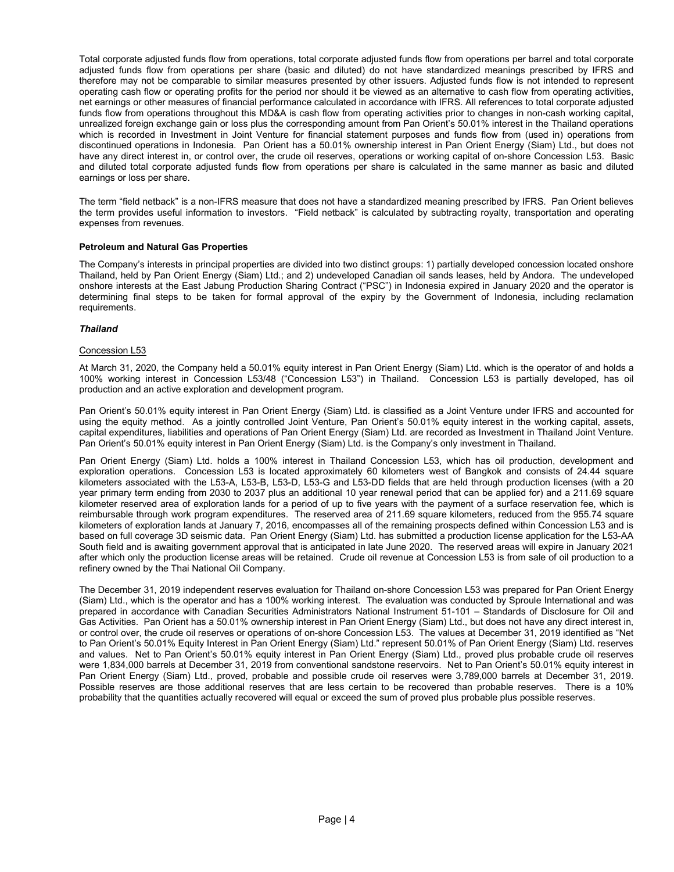Total corporate adjusted funds flow from operations, total corporate adjusted funds flow from operations per barrel and total corporate adjusted funds flow from operations per share (basic and diluted) do not have standardized meanings prescribed by IFRS and therefore may not be comparable to similar measures presented by other issuers. Adjusted funds flow is not intended to represent operating cash flow or operating profits for the period nor should it be viewed as an alternative to cash flow from operating activities, net earnings or other measures of financial performance calculated in accordance with IFRS. All references to total corporate adjusted funds flow from operations throughout this MD&A is cash flow from operating activities prior to changes in non-cash working capital, unrealized foreign exchange gain or loss plus the corresponding amount from Pan Orient's 50.01% interest in the Thailand operations which is recorded in Investment in Joint Venture for financial statement purposes and funds flow from (used in) operations from discontinued operations in Indonesia. Pan Orient has a 50.01% ownership interest in Pan Orient Energy (Siam) Ltd., but does not have any direct interest in, or control over, the crude oil reserves, operations or working capital of on-shore Concession L53. Basic and diluted total corporate adjusted funds flow from operations per share is calculated in the same manner as basic and diluted earnings or loss per share.

The term "field netback" is a non-IFRS measure that does not have a standardized meaning prescribed by IFRS. Pan Orient believes the term provides useful information to investors. "Field netback" is calculated by subtracting royalty, transportation and operating expenses from revenues.

## Petroleum and Natural Gas Properties

The Company's interests in principal properties are divided into two distinct groups: 1) partially developed concession located onshore Thailand, held by Pan Orient Energy (Siam) Ltd.; and 2) undeveloped Canadian oil sands leases, held by Andora. The undeveloped onshore interests at the East Jabung Production Sharing Contract ("PSC") in Indonesia expired in January 2020 and the operator is determining final steps to be taken for formal approval of the expiry by the Government of Indonesia, including reclamation requirements.

## Thailand

## Concession L53

At March 31, 2020, the Company held a 50.01% equity interest in Pan Orient Energy (Siam) Ltd. which is the operator of and holds a 100% working interest in Concession L53/48 ("Concession L53") in Thailand. Concession L53 is partially developed, has oil production and an active exploration and development program.

Pan Orient's 50.01% equity interest in Pan Orient Energy (Siam) Ltd. is classified as a Joint Venture under IFRS and accounted for using the equity method. As a jointly controlled Joint Venture, Pan Orient's 50.01% equity interest in the working capital, assets, capital expenditures, liabilities and operations of Pan Orient Energy (Siam) Ltd. are recorded as Investment in Thailand Joint Venture. Pan Orient's 50.01% equity interest in Pan Orient Energy (Siam) Ltd. is the Company's only investment in Thailand.

Pan Orient Energy (Siam) Ltd. holds a 100% interest in Thailand Concession L53, which has oil production, development and exploration operations. Concession L53 is located approximately 60 kilometers west of Bangkok and consists of 24.44 square kilometers associated with the L53-A, L53-B, L53-D, L53-G and L53-DD fields that are held through production licenses (with a 20 year primary term ending from 2030 to 2037 plus an additional 10 year renewal period that can be applied for) and a 211.69 square kilometer reserved area of exploration lands for a period of up to five years with the payment of a surface reservation fee, which is reimbursable through work program expenditures. The reserved area of 211.69 square kilometers, reduced from the 955.74 square kilometers of exploration lands at January 7, 2016, encompasses all of the remaining prospects defined within Concession L53 and is based on full coverage 3D seismic data. Pan Orient Energy (Siam) Ltd. has submitted a production license application for the L53-AA South field and is awaiting government approval that is anticipated in late June 2020. The reserved areas will expire in January 2021 after which only the production license areas will be retained. Crude oil revenue at Concession L53 is from sale of oil production to a refinery owned by the Thai National Oil Company.

The December 31, 2019 independent reserves evaluation for Thailand on-shore Concession L53 was prepared for Pan Orient Energy (Siam) Ltd., which is the operator and has a 100% working interest. The evaluation was conducted by Sproule International and was prepared in accordance with Canadian Securities Administrators National Instrument 51-101 – Standards of Disclosure for Oil and Gas Activities. Pan Orient has a 50.01% ownership interest in Pan Orient Energy (Siam) Ltd., but does not have any direct interest in, or control over, the crude oil reserves or operations of on-shore Concession L53. The values at December 31, 2019 identified as "Net to Pan Orient's 50.01% Equity Interest in Pan Orient Energy (Siam) Ltd." represent 50.01% of Pan Orient Energy (Siam) Ltd. reserves and values. Net to Pan Orient's 50.01% equity interest in Pan Orient Energy (Siam) Ltd., proved plus probable crude oil reserves were 1,834,000 barrels at December 31, 2019 from conventional sandstone reservoirs. Net to Pan Orient's 50.01% equity interest in Pan Orient Energy (Siam) Ltd., proved, probable and possible crude oil reserves were 3,789,000 barrels at December 31, 2019. Possible reserves are those additional reserves that are less certain to be recovered than probable reserves. There is a 10% probability that the quantities actually recovered will equal or exceed the sum of proved plus probable plus possible reserves.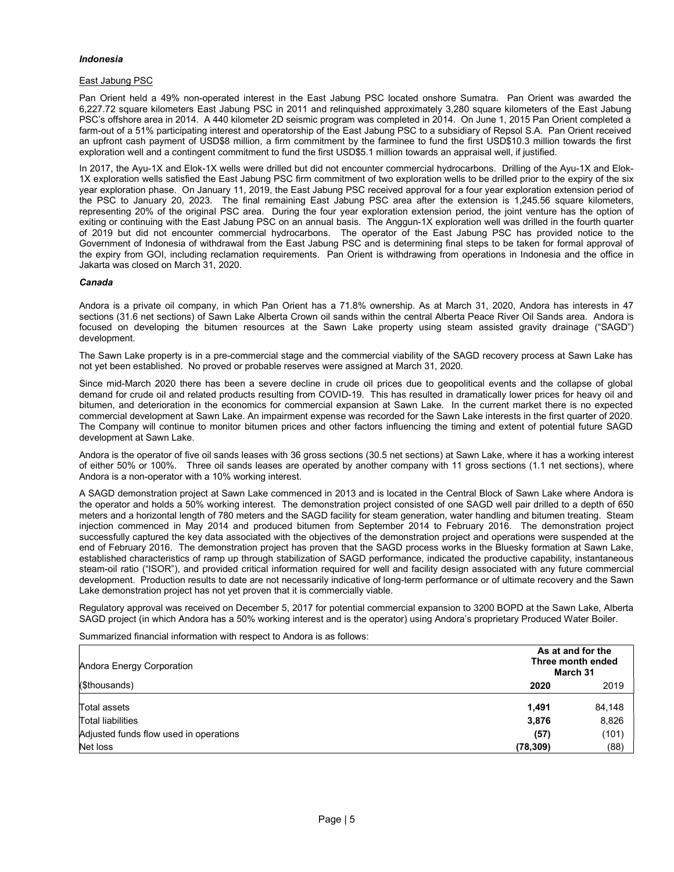## Indonesia

## East Jabung PSC

Pan Orient held a 49% non-operated interest in the East Jabung PSC located onshore Sumatra. Pan Orient was awarded the 6,227.72 square kilometers East Jabung PSC in 2011 and relinquished approximately 3,280 square kilometers of the East Jabung PSC's offshore area in 2014. A 440 kilometer 2D seismic program was completed in 2014. On June 1, 2015 Pan Orient completed a farm-out of a 51% participating interest and operatorship of the East Jabung PSC to a subsidiary of Repsol S.A. Pan Orient received an upfront cash payment of USD\$8 million, a firm commitment by the farminee to fund the first USD\$10.3 million towards the first exploration well and a contingent commitment to fund the first USD\$5.1 million towards an appraisal well, if justified.

In 2017, the Ayu-1X and Elok-1X wells were drilled but did not encounter commercial hydrocarbons. Drilling of the Ayu-1X and Elok-1X exploration wells satisfied the East Jabung PSC firm commitment of two exploration wells to be drilled prior to the expiry of the six year exploration phase. On January 11, 2019, the East Jabung PSC received approval for a four year exploration extension period of the PSC to January 20, 2023. The final remaining East Jabung PSC area after the extension is 1,245.56 square kilometers, representing 20% of the original PSC area. During the four year exploration extension period, the joint venture has the option of exiting or continuing with the East Jabung PSC on an annual basis. The Anggun-1X exploration well was drilled in the fourth quarter of 2019 but did not encounter commercial hydrocarbons. The operator of the East Jabung PSC has provided notice to the Government of Indonesia of withdrawal from the East Jabung PSC and is determining final steps to be taken for formal approval of the expiry from GOI, including reclamation requirements. Pan Orient is withdrawing from operations in Indonesia and the office in Jakarta was closed on March 31, 2020.

#### Canada

Andora is a private oil company, in which Pan Orient has a 71.8% ownership. As at March 31, 2020, Andora has interests in 47 sections (31.6 net sections) of Sawn Lake Alberta Crown oil sands within the central Alberta Peace River Oil Sands area. Andora is focused on developing the bitumen resources at the Sawn Lake property using steam assisted gravity drainage ("SAGD") development.

The Sawn Lake property is in a pre-commercial stage and the commercial viability of the SAGD recovery process at Sawn Lake has not yet been established. No proved or probable reserves were assigned at March 31, 2020.

Since mid-March 2020 there has been a severe decline in crude oil prices due to geopolitical events and the collapse of global demand for crude oil and related products resulting from COVID-19. This has resulted in dramatically lower prices for heavy oil and bitumen, and deterioration in the economics for commercial expansion at Sawn Lake. In the current market there is no expected commercial development at Sawn Lake. An impairment expense was recorded for the Sawn Lake interests in the first quarter of 2020. The Company will continue to monitor bitumen prices and other factors influencing the timing and extent of potential future SAGD development at Sawn Lake.

Andora is the operator of five oil sands leases with 36 gross sections (30.5 net sections) at Sawn Lake, where it has a working interest of either 50% or 100%. Three oil sands leases are operated by another company with 11 gross sections (1.1 net sections), where Andora is a non-operator with a 10% working interest.

A SAGD demonstration project at Sawn Lake commenced in 2013 and is located in the Central Block of Sawn Lake where Andora is the operator and holds a 50% working interest. The demonstration project consisted of one SAGD well pair drilled to a depth of 650 meters and a horizontal length of 780 meters and the SAGD facility for steam generation, water handling and bitumen treating. Steam injection commenced in May 2014 and produced bitumen from September 2014 to February 2016. The demonstration project successfully captured the key data associated with the objectives of the demonstration project and operations were suspended at the end of February 2016. The demonstration project has proven that the SAGD process works in the Bluesky formation at Sawn Lake, established characteristics of ramp up through stabilization of SAGD performance, indicated the productive capability, instantaneous steam-oil ratio ("ISOR"), and provided critical information required for well and facility design associated with any future commercial development. Production results to date are not necessarily indicative of long-term performance or of ultimate recovery and the Sawn Lake demonstration project has not yet proven that it is commercially viable.

Regulatory approval was received on December 5, 2017 for potential commercial expansion to 3200 BOPD at the Sawn Lake, Alberta SAGD project (in which Andora has a 50% working interest and is the operator) using Andora's proprietary Produced Water Boiler.

Summarized financial information with respect to Andora is as follows:

| Andora Energy Corporation              | As at and for the<br>Three month ended<br>March 31 |        |  |
|----------------------------------------|----------------------------------------------------|--------|--|
| (\$thousands)                          | 2020                                               | 2019   |  |
| Total assets                           | 1.491                                              | 84,148 |  |
| Total liabilities                      | 3,876                                              | 8,826  |  |
| Adjusted funds flow used in operations | (57)                                               | (101)  |  |
| Net loss                               | (78, 309)                                          | (88)   |  |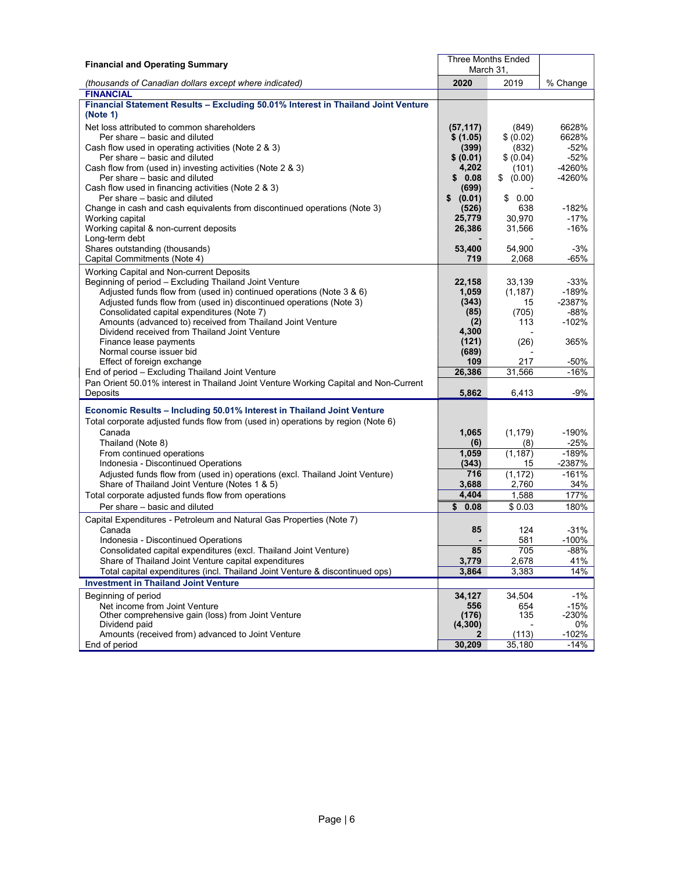| <b>Financial and Operating Summary</b>                                                                     |                 | <b>Three Months Ended</b> |                   |  |
|------------------------------------------------------------------------------------------------------------|-----------------|---------------------------|-------------------|--|
|                                                                                                            | March 31,       |                           |                   |  |
| (thousands of Canadian dollars except where indicated)                                                     | 2020            | 2019                      | % Change          |  |
| <b>FINANCIAL</b>                                                                                           |                 |                           |                   |  |
| Financial Statement Results - Excluding 50.01% Interest in Thailand Joint Venture                          |                 |                           |                   |  |
| (Note 1)                                                                                                   |                 |                           |                   |  |
| Net loss attributed to common shareholders                                                                 | (57, 117)       | (849)                     | 6628%             |  |
| Per share – basic and diluted                                                                              | \$ (1.05)       | \$ (0.02)                 | 6628%             |  |
| Cash flow used in operating activities (Note 2 & 3)                                                        | (399)           | (832)                     | $-52%$            |  |
| Per share - basic and diluted                                                                              | \$ (0.01)       | \$ (0.04)                 | $-52%$            |  |
| Cash flow from (used in) investing activities (Note 2 & 3)                                                 | 4,202           | (101)                     | -4260%            |  |
| Per share - basic and diluted                                                                              | \$0.08          | \$<br>(0.00)              | -4260%            |  |
| Cash flow used in financing activities (Note 2 & 3)                                                        | (699)           |                           |                   |  |
| Per share - basic and diluted<br>Change in cash and cash equivalents from discontinued operations (Note 3) | \$<br>(0.01)    | 0.00<br>\$                |                   |  |
| Working capital                                                                                            | (526)<br>25,779 | 638<br>30,970             | $-182%$<br>$-17%$ |  |
| Working capital & non-current deposits                                                                     | 26,386          | 31,566                    | $-16%$            |  |
| Long-term debt                                                                                             |                 |                           |                   |  |
| Shares outstanding (thousands)                                                                             | 53,400          | 54,900                    | $-3%$             |  |
| Capital Commitments (Note 4)                                                                               | 719             | 2,068                     | -65%              |  |
| Working Capital and Non-current Deposits                                                                   |                 |                           |                   |  |
| Beginning of period - Excluding Thailand Joint Venture                                                     | 22,158          | 33,139                    | $-33%$            |  |
| Adjusted funds flow from (used in) continued operations (Note 3 & 6)                                       | 1.059           | (1, 187)                  | $-189%$           |  |
| Adjusted funds flow from (used in) discontinued operations (Note 3)                                        | (343)           | 15                        | $-2387%$          |  |
| Consolidated capital expenditures (Note 7)                                                                 | (85)            | (705)                     | $-88%$            |  |
| Amounts (advanced to) received from Thailand Joint Venture                                                 | (2)             | 113                       | $-102%$           |  |
| Dividend received from Thailand Joint Venture                                                              | 4,300           |                           |                   |  |
| Finance lease payments                                                                                     | (121)           | (26)                      | 365%              |  |
| Normal course issuer bid                                                                                   | (689)           |                           |                   |  |
| Effect of foreign exchange                                                                                 | 109             | 217                       | $-50%$            |  |
| End of period - Excluding Thailand Joint Venture                                                           | 26,386          | 31,566                    | $-16%$            |  |
| Pan Orient 50.01% interest in Thailand Joint Venture Working Capital and Non-Current                       |                 |                           |                   |  |
| Deposits                                                                                                   | 5,862           | 6,413                     | -9%               |  |
| Economic Results - Including 50.01% Interest in Thailand Joint Venture                                     |                 |                           |                   |  |
| Total corporate adjusted funds flow from (used in) operations by region (Note 6)                           |                 |                           |                   |  |
| Canada                                                                                                     | 1,065           | (1, 179)                  | $-190%$           |  |
| Thailand (Note 8)                                                                                          | (6)             | (8)                       | $-25%$            |  |
| From continued operations                                                                                  | 1,059           | (1, 187)                  | $-189%$           |  |
| Indonesia - Discontinued Operations                                                                        | (343)           | 15                        | $-2387%$          |  |
| Adjusted funds flow from (used in) operations (excl. Thailand Joint Venture)                               | 716             | (1, 172)                  | $-161%$           |  |
| Share of Thailand Joint Venture (Notes 1 & 5)                                                              | 3,688           | 2,760                     | 34%               |  |
| Total corporate adjusted funds flow from operations                                                        | 4,404           | 1,588                     | 177%              |  |
| Per share - basic and diluted                                                                              | \$0.08          | \$0.03                    | 180%              |  |
| Capital Expenditures - Petroleum and Natural Gas Properties (Note 7)                                       |                 |                           |                   |  |
| Canada                                                                                                     | 85              | 124                       | $-31%$            |  |
| Indonesia - Discontinued Operations                                                                        |                 | 581                       | $-100%$           |  |
| Consolidated capital expenditures (excl. Thailand Joint Venture)                                           | 85              | 705                       | -88%              |  |
| Share of Thailand Joint Venture capital expenditures                                                       | 3,779           | 2,678                     | 41%               |  |
| Total capital expenditures (incl. Thailand Joint Venture & discontinued ops)                               | 3,864           | 3,383                     | 14%               |  |
| <b>Investment in Thailand Joint Venture</b>                                                                |                 |                           |                   |  |
| Beginning of period                                                                                        | 34,127          | 34,504                    | $-1%$             |  |
| Net income from Joint Venture                                                                              | 556             | 654                       | $-15%$            |  |
| Other comprehensive gain (loss) from Joint Venture                                                         | (176)           | 135                       | $-230%$           |  |
| Dividend paid                                                                                              | (4, 300)        |                           | 0%                |  |
| Amounts (received from) advanced to Joint Venture                                                          | 2               | (113)                     | $-102%$           |  |
| End of period                                                                                              | 30,209          | 35,180                    | $-14%$            |  |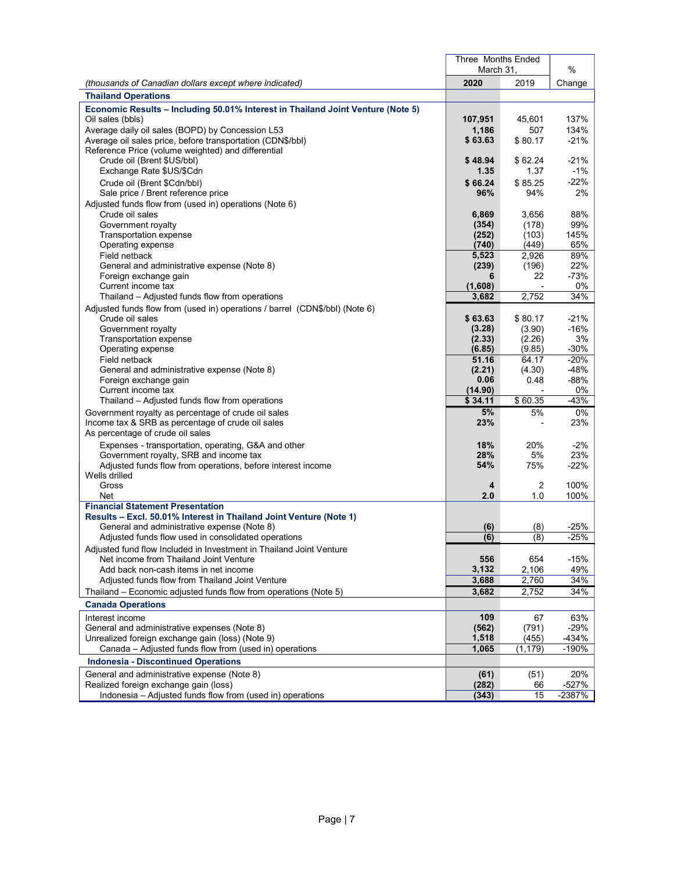|                                                                                                  | Three Months Ended<br>March 31, |                | %               |
|--------------------------------------------------------------------------------------------------|---------------------------------|----------------|-----------------|
| (thousands of Canadian dollars except where indicated)                                           | 2020                            | 2019           | Change          |
| <b>Thailand Operations</b>                                                                       |                                 |                |                 |
| Economic Results - Including 50.01% Interest in Thailand Joint Venture (Note 5)                  |                                 |                |                 |
| Oil sales (bbls)                                                                                 | 107,951                         | 45,601         | 137%            |
| Average daily oil sales (BOPD) by Concession L53                                                 | 1,186                           | 507            | 134%            |
| Average oil sales price, before transportation (CDN\$/bbl)                                       | \$63.63                         | \$80.17        | $-21%$          |
| Reference Price (volume weighted) and differential                                               |                                 |                |                 |
| Crude oil (Brent \$US/bbl)                                                                       | \$48.94                         | \$62.24        | $-21%$          |
| Exchange Rate \$US/\$Cdn                                                                         | 1.35                            | 1.37           | $-1%$           |
| Crude oil (Brent \$Cdn/bbl)                                                                      | \$66.24                         | \$85.25        | $-22%$          |
| Sale price / Brent reference price                                                               | 96%                             | 94%            | 2%              |
| Adjusted funds flow from (used in) operations (Note 6)<br>Crude oil sales                        | 6.869                           | 3,656          | 88%             |
| Government royalty                                                                               | (354)                           | (178)          | 99%             |
| Transportation expense                                                                           | (252)                           | (103)          | 145%            |
| Operating expense                                                                                | (740)                           | (449)          | 65%             |
| Field netback                                                                                    | 5,523                           | 2,926          | 89%             |
| General and administrative expense (Note 8)                                                      | (239)                           | (196)          | 22%             |
| Foreign exchange gain                                                                            | 6                               | 22             | $-73%$          |
| Current income tax                                                                               | (1,608)                         |                | 0%              |
| Thailand – Adjusted funds flow from operations                                                   | 3,682                           | 2,752          | 34%             |
| Adjusted funds flow from (used in) operations / barrel (CDN\$/bbl) (Note 6)<br>Crude oil sales   | \$63.63                         | \$80.17        | $-21%$          |
| Government royalty                                                                               | (3.28)                          | (3.90)         | $-16%$          |
| Transportation expense                                                                           | (2.33)                          | (2.26)         | 3%              |
| Operating expense                                                                                | (6.85)                          | (9.85)         | $-30%$          |
| Field netback                                                                                    | 51.16                           | 64.17          | $-20%$          |
| General and administrative expense (Note 8)                                                      | (2.21)                          | (4.30)         | $-48%$          |
| Foreign exchange gain                                                                            | 0.06                            | 0.48           | -88%            |
| Current income tax<br>Thailand – Adjusted funds flow from operations                             | (14.90)<br>\$34.11              | \$60.35        | 0%<br>$-43%$    |
| Government royalty as percentage of crude oil sales                                              | 5%                              | 5%             | 0%              |
| Income tax & SRB as percentage of crude oil sales                                                | 23%                             |                | 23%             |
| As percentage of crude oil sales                                                                 |                                 |                |                 |
| Expenses - transportation, operating, G&A and other                                              | 18%                             | 20%            | $-2%$           |
| Government royalty, SRB and income tax                                                           | 28%                             | 5%             | 23%             |
| Adjusted funds flow from operations, before interest income                                      | 54%                             | 75%            | $-22%$          |
| Wells drilled                                                                                    |                                 |                |                 |
| Gross                                                                                            | 4<br>2.0                        | $\overline{2}$ | 100%            |
| Net<br><b>Financial Statement Presentation</b>                                                   |                                 | 1.0            | 100%            |
| Results - Excl. 50.01% Interest in Thailand Joint Venture (Note 1)                               |                                 |                |                 |
| General and administrative expense (Note 8)                                                      | (6)                             | (8)            | $-25%$          |
| Adjusted funds flow used in consolidated operations                                              | (6)                             | (8)            | $-25%$          |
| Adjusted fund flow Included in Investment in Thailand Joint Venture                              |                                 |                |                 |
| Net income from Thailand Joint Venture                                                           | 556                             | 654            | $-15%$          |
| Add back non-cash items in net income                                                            | 3,132                           | 2,106          | 49%             |
| Adjusted funds flow from Thailand Joint Venture                                                  | 3,688                           | 2,760          | 34%             |
| Thailand – Economic adiusted funds flow from operations (Note 5)                                 | 3.682                           | 2,752          | 34%             |
| <b>Canada Operations</b>                                                                         |                                 |                |                 |
| Interest income                                                                                  | 109                             | 67             | 63%             |
| General and administrative expenses (Note 8)<br>Unrealized foreign exchange gain (loss) (Note 9) | (562)<br>1,518                  | (791)<br>(455) | $-29%$<br>-434% |
| Canada – Adjusted funds flow from (used in) operations                                           | 1,065                           | (1, 179)       | -190%           |
| <b>Indonesia - Discontinued Operations</b>                                                       |                                 |                |                 |
|                                                                                                  |                                 |                |                 |
| General and administrative expense (Note 8)<br>Realized foreign exchange gain (loss)             | (61)<br>(282)                   | (51)<br>66     | 20%<br>-527%    |
| Indonesia - Adjusted funds flow from (used in) operations                                        | (343)                           | 15             | $-2387%$        |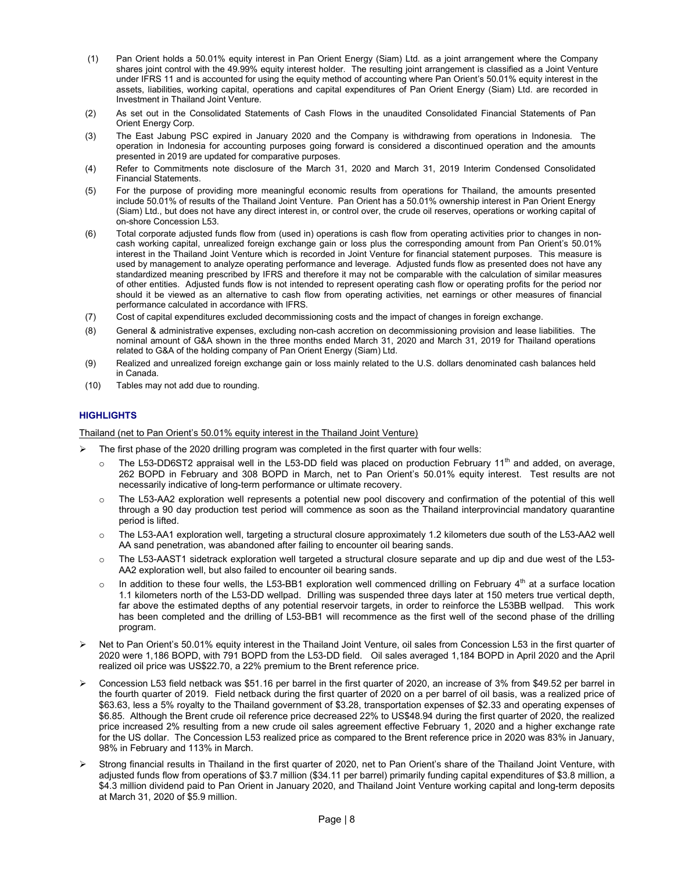- (1) Pan Orient holds a 50.01% equity interest in Pan Orient Energy (Siam) Ltd. as a joint arrangement where the Company shares joint control with the 49.99% equity interest holder. The resulting joint arrangement is classified as a Joint Venture under IFRS 11 and is accounted for using the equity method of accounting where Pan Orient's 50.01% equity interest in the assets, liabilities, working capital, operations and capital expenditures of Pan Orient Energy (Siam) Ltd. are recorded in Investment in Thailand Joint Venture.
- (2) As set out in the Consolidated Statements of Cash Flows in the unaudited Consolidated Financial Statements of Pan Orient Energy Corp.
- (3) The East Jabung PSC expired in January 2020 and the Company is withdrawing from operations in Indonesia. The operation in Indonesia for accounting purposes going forward is considered a discontinued operation and the amounts presented in 2019 are updated for comparative purposes.
- (4) Refer to Commitments note disclosure of the March 31, 2020 and March 31, 2019 Interim Condensed Consolidated Financial Statements.
- (5) For the purpose of providing more meaningful economic results from operations for Thailand, the amounts presented include 50.01% of results of the Thailand Joint Venture. Pan Orient has a 50.01% ownership interest in Pan Orient Energy (Siam) Ltd., but does not have any direct interest in, or control over, the crude oil reserves, operations or working capital of on-shore Concession L53.
- (6) Total corporate adjusted funds flow from (used in) operations is cash flow from operating activities prior to changes in noncash working capital, unrealized foreign exchange gain or loss plus the corresponding amount from Pan Orient's 50.01% interest in the Thailand Joint Venture which is recorded in Joint Venture for financial statement purposes. This measure is used by management to analyze operating performance and leverage. Adjusted funds flow as presented does not have any standardized meaning prescribed by IFRS and therefore it may not be comparable with the calculation of similar measures of other entities. Adjusted funds flow is not intended to represent operating cash flow or operating profits for the period nor should it be viewed as an alternative to cash flow from operating activities, net earnings or other measures of financial performance calculated in accordance with IFRS.
- (7) Cost of capital expenditures excluded decommissioning costs and the impact of changes in foreign exchange.
- (8) General & administrative expenses, excluding non-cash accretion on decommissioning provision and lease liabilities. The nominal amount of G&A shown in the three months ended March 31, 2020 and March 31, 2019 for Thailand operations related to G&A of the holding company of Pan Orient Energy (Siam) Ltd.
- (9) Realized and unrealized foreign exchange gain or loss mainly related to the U.S. dollars denominated cash balances held in Canada.
- (10) Tables may not add due to rounding.

## **HIGHLIGHTS**

Thailand (net to Pan Orient's 50.01% equity interest in the Thailand Joint Venture)

- The first phase of the 2020 drilling program was completed in the first quarter with four wells:
	- The L53-DD6ST2 appraisal well in the L53-DD field was placed on production February 11<sup>th</sup> and added, on average, 262 BOPD in February and 308 BOPD in March, net to Pan Orient's 50.01% equity interest. Test results are not necessarily indicative of long-term performance or ultimate recovery.
	- $\circ$  The L53-AA2 exploration well represents a potential new pool discovery and confirmation of the potential of this well through a 90 day production test period will commence as soon as the Thailand interprovincial mandatory quarantine period is lifted.
	- $\circ$  The L53-AA1 exploration well, targeting a structural closure approximately 1.2 kilometers due south of the L53-AA2 well AA sand penetration, was abandoned after failing to encounter oil bearing sands.
	- $\circ$  The L53-AAST1 sidetrack exploration well targeted a structural closure separate and up dip and due west of the L53-AA2 exploration well, but also failed to encounter oil bearing sands.
	- $\circ$  In addition to these four wells, the L53-BB1 exploration well commenced drilling on February 4<sup>th</sup> at a surface location 1.1 kilometers north of the L53-DD wellpad. Drilling was suspended three days later at 150 meters true vertical depth, far above the estimated depths of any potential reservoir targets, in order to reinforce the L53BB wellpad. This work has been completed and the drilling of L53-BB1 will recommence as the first well of the second phase of the drilling program.
- Net to Pan Orient's 50.01% equity interest in the Thailand Joint Venture, oil sales from Concession L53 in the first quarter of 2020 were 1,186 BOPD, with 791 BOPD from the L53-DD field. Oil sales averaged 1,184 BOPD in April 2020 and the April realized oil price was US\$22.70, a 22% premium to the Brent reference price.
- Concession L53 field netback was \$51.16 per barrel in the first quarter of 2020, an increase of 3% from \$49.52 per barrel in the fourth quarter of 2019. Field netback during the first quarter of 2020 on a per barrel of oil basis, was a realized price of \$63.63, less a 5% royalty to the Thailand government of \$3.28, transportation expenses of \$2.33 and operating expenses of \$6.85. Although the Brent crude oil reference price decreased 22% to US\$48.94 during the first quarter of 2020, the realized price increased 2% resulting from a new crude oil sales agreement effective February 1, 2020 and a higher exchange rate for the US dollar. The Concession L53 realized price as compared to the Brent reference price in 2020 was 83% in January, 98% in February and 113% in March.
- Strong financial results in Thailand in the first quarter of 2020, net to Pan Orient's share of the Thailand Joint Venture, with adjusted funds flow from operations of \$3.7 million (\$34.11 per barrel) primarily funding capital expenditures of \$3.8 million, a \$4.3 million dividend paid to Pan Orient in January 2020, and Thailand Joint Venture working capital and long-term deposits at March 31, 2020 of \$5.9 million.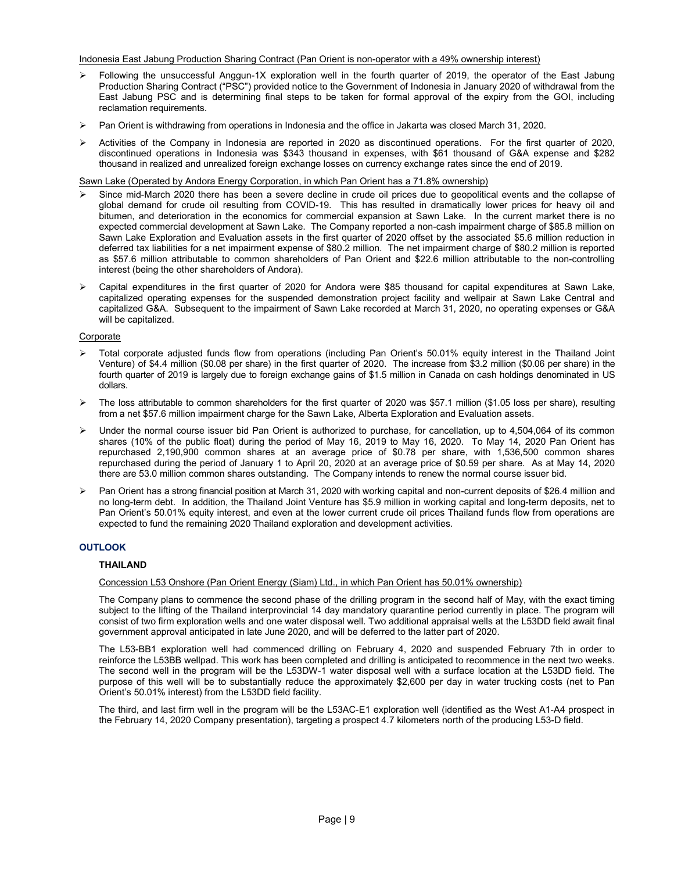## Indonesia East Jabung Production Sharing Contract (Pan Orient is non-operator with a 49% ownership interest)

- $\triangleright$  Following the unsuccessful Anggun-1X exploration well in the fourth quarter of 2019, the operator of the East Jabung Production Sharing Contract ("PSC") provided notice to the Government of Indonesia in January 2020 of withdrawal from the East Jabung PSC and is determining final steps to be taken for formal approval of the expiry from the GOI, including reclamation requirements.
- $\triangleright$  Pan Orient is withdrawing from operations in Indonesia and the office in Jakarta was closed March 31, 2020.
- Activities of the Company in Indonesia are reported in 2020 as discontinued operations. For the first quarter of 2020, discontinued operations in Indonesia was \$343 thousand in expenses, with \$61 thousand of G&A expense and \$282 thousand in realized and unrealized foreign exchange losses on currency exchange rates since the end of 2019.

Sawn Lake (Operated by Andora Energy Corporation, in which Pan Orient has a 71.8% ownership)

- Since mid-March 2020 there has been a severe decline in crude oil prices due to geopolitical events and the collapse of global demand for crude oil resulting from COVID-19. This has resulted in dramatically lower prices for heavy oil and bitumen, and deterioration in the economics for commercial expansion at Sawn Lake. In the current market there is no expected commercial development at Sawn Lake. The Company reported a non-cash impairment charge of \$85.8 million on Sawn Lake Exploration and Evaluation assets in the first quarter of 2020 offset by the associated \$5.6 million reduction in deferred tax liabilities for a net impairment expense of \$80.2 million. The net impairment charge of \$80.2 million is reported as \$57.6 million attributable to common shareholders of Pan Orient and \$22.6 million attributable to the non-controlling interest (being the other shareholders of Andora).
- Capital expenditures in the first quarter of 2020 for Andora were \$85 thousand for capital expenditures at Sawn Lake, capitalized operating expenses for the suspended demonstration project facility and wellpair at Sawn Lake Central and capitalized G&A. Subsequent to the impairment of Sawn Lake recorded at March 31, 2020, no operating expenses or G&A will be capitalized.

#### Corporate

- Total corporate adjusted funds flow from operations (including Pan Orient's 50.01% equity interest in the Thailand Joint Venture) of \$4.4 million (\$0.08 per share) in the first quarter of 2020. The increase from \$3.2 million (\$0.06 per share) in the fourth quarter of 2019 is largely due to foreign exchange gains of \$1.5 million in Canada on cash holdings denominated in US dollars.
- $\triangleright$  The loss attributable to common shareholders for the first quarter of 2020 was \$57.1 million (\$1.05 loss per share), resulting from a net \$57.6 million impairment charge for the Sawn Lake, Alberta Exploration and Evaluation assets.
- $\triangleright$  Under the normal course issuer bid Pan Orient is authorized to purchase, for cancellation, up to 4,504,064 of its common shares (10% of the public float) during the period of May 16, 2019 to May 16, 2020. To May 14, 2020 Pan Orient has repurchased 2,190,900 common shares at an average price of \$0.78 per share, with 1,536,500 common shares repurchased during the period of January 1 to April 20, 2020 at an average price of \$0.59 per share. As at May 14, 2020 there are 53.0 million common shares outstanding. The Company intends to renew the normal course issuer bid.
- Pan Orient has a strong financial position at March 31, 2020 with working capital and non-current deposits of \$26.4 million and no long-term debt. In addition, the Thailand Joint Venture has \$5.9 million in working capital and long-term deposits, net to Pan Orient's 50.01% equity interest, and even at the lower current crude oil prices Thailand funds flow from operations are expected to fund the remaining 2020 Thailand exploration and development activities.

## **OUTLOOK**

## THAILAND

## Concession L53 Onshore (Pan Orient Energy (Siam) Ltd., in which Pan Orient has 50.01% ownership)

The Company plans to commence the second phase of the drilling program in the second half of May, with the exact timing subject to the lifting of the Thailand interprovincial 14 day mandatory quarantine period currently in place. The program will consist of two firm exploration wells and one water disposal well. Two additional appraisal wells at the L53DD field await final government approval anticipated in late June 2020, and will be deferred to the latter part of 2020.

The L53-BB1 exploration well had commenced drilling on February 4, 2020 and suspended February 7th in order to reinforce the L53BB wellpad. This work has been completed and drilling is anticipated to recommence in the next two weeks. The second well in the program will be the L53DW-1 water disposal well with a surface location at the L53DD field. The purpose of this well will be to substantially reduce the approximately \$2,600 per day in water trucking costs (net to Pan Orient's 50.01% interest) from the L53DD field facility.

The third, and last firm well in the program will be the L53AC-E1 exploration well (identified as the West A1-A4 prospect in the February 14, 2020 Company presentation), targeting a prospect 4.7 kilometers north of the producing L53-D field.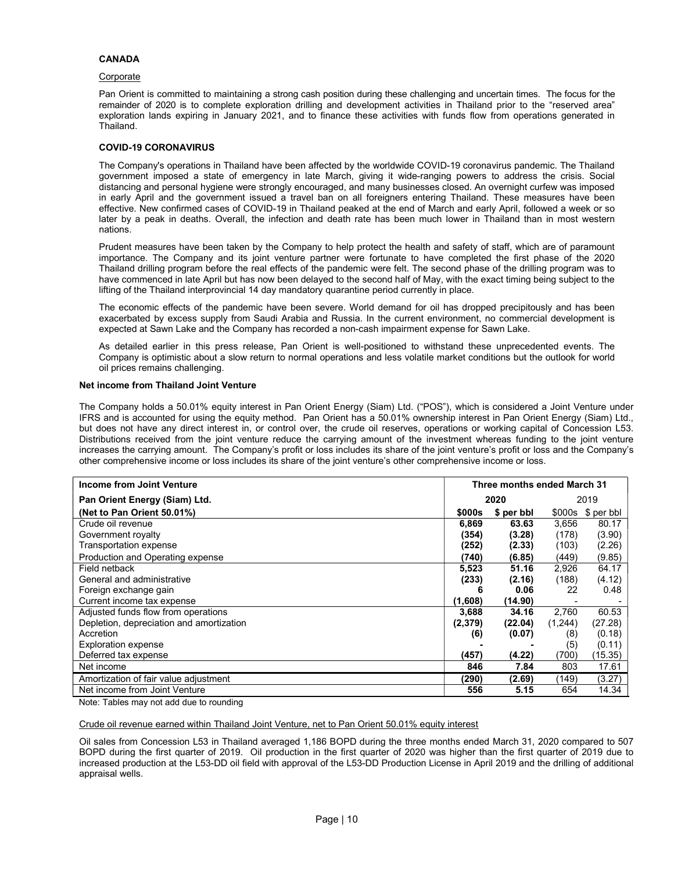## CANADA

#### Corporate

Pan Orient is committed to maintaining a strong cash position during these challenging and uncertain times. The focus for the remainder of 2020 is to complete exploration drilling and development activities in Thailand prior to the "reserved area" exploration lands expiring in January 2021, and to finance these activities with funds flow from operations generated in Thailand.

## COVID-19 CORONAVIRUS

The Company's operations in Thailand have been affected by the worldwide COVID-19 coronavirus pandemic. The Thailand government imposed a state of emergency in late March, giving it wide-ranging powers to address the crisis. Social distancing and personal hygiene were strongly encouraged, and many businesses closed. An overnight curfew was imposed in early April and the government issued a travel ban on all foreigners entering Thailand. These measures have been effective. New confirmed cases of COVID-19 in Thailand peaked at the end of March and early April, followed a week or so later by a peak in deaths. Overall, the infection and death rate has been much lower in Thailand than in most western nations.

Prudent measures have been taken by the Company to help protect the health and safety of staff, which are of paramount importance. The Company and its joint venture partner were fortunate to have completed the first phase of the 2020 Thailand drilling program before the real effects of the pandemic were felt. The second phase of the drilling program was to have commenced in late April but has now been delayed to the second half of May, with the exact timing being subject to the lifting of the Thailand interprovincial 14 day mandatory quarantine period currently in place.

The economic effects of the pandemic have been severe. World demand for oil has dropped precipitously and has been exacerbated by excess supply from Saudi Arabia and Russia. In the current environment, no commercial development is expected at Sawn Lake and the Company has recorded a non-cash impairment expense for Sawn Lake.

As detailed earlier in this press release, Pan Orient is well-positioned to withstand these unprecedented events. The Company is optimistic about a slow return to normal operations and less volatile market conditions but the outlook for world oil prices remains challenging.

## Net income from Thailand Joint Venture

The Company holds a 50.01% equity interest in Pan Orient Energy (Siam) Ltd. ("POS"), which is considered a Joint Venture under IFRS and is accounted for using the equity method. Pan Orient has a 50.01% ownership interest in Pan Orient Energy (Siam) Ltd., but does not have any direct interest in, or control over, the crude oil reserves, operations or working capital of Concession L53. Distributions received from the joint venture reduce the carrying amount of the investment whereas funding to the joint venture increases the carrying amount. The Company's profit or loss includes its share of the joint venture's profit or loss and the Company's other comprehensive income or loss includes its share of the joint venture's other comprehensive income or loss.

| Income from Joint Venture                | Three months ended March 31 |            |         |            |
|------------------------------------------|-----------------------------|------------|---------|------------|
| Pan Orient Energy (Siam) Ltd.            |                             | 2020       |         | 2019       |
| (Net to Pan Orient 50.01%)               | \$000s                      | \$ per bbl | \$000s  | \$ per bbl |
| Crude oil revenue                        | 6,869                       | 63.63      | 3.656   | 80.17      |
| Government royalty                       | (354)                       | (3.28)     | (178)   | (3.90)     |
| Transportation expense                   | (252)                       | (2.33)     | (103)   | (2.26)     |
| Production and Operating expense         | (740)                       | (6.85)     | (449)   | (9.85)     |
| Field netback                            | 5,523                       | 51.16      | 2,926   | 64.17      |
| General and administrative               | (233)                       | (2.16)     | (188)   | (4.12)     |
| Foreign exchange gain                    | 6                           | 0.06       | 22      | 0.48       |
| Current income tax expense               | (1,608)                     | (14.90)    |         |            |
| Adjusted funds flow from operations      | 3,688                       | 34.16      | 2.760   | 60.53      |
| Depletion, depreciation and amortization | (2,379)                     | (22.04)    | (1,244) | (27.28)    |
| Accretion                                | (6)                         | (0.07)     | (8)     | (0.18)     |
| <b>Exploration expense</b>               |                             |            | (5)     | (0.11)     |
| Deferred tax expense                     | (457)                       | (4.22)     | (700)   | (15.35)    |
| Net income                               | 846                         | 7.84       | 803     | 17.61      |
| Amortization of fair value adjustment    | (290)                       | (2.69)     | (149)   | (3.27)     |
| Net income from Joint Venture            | 556                         | 5.15       | 654     | 14.34      |

Note: Tables may not add due to rounding

Crude oil revenue earned within Thailand Joint Venture, net to Pan Orient 50.01% equity interest

Oil sales from Concession L53 in Thailand averaged 1,186 BOPD during the three months ended March 31, 2020 compared to 507 BOPD during the first quarter of 2019. Oil production in the first quarter of 2020 was higher than the first quarter of 2019 due to increased production at the L53-DD oil field with approval of the L53-DD Production License in April 2019 and the drilling of additional appraisal wells.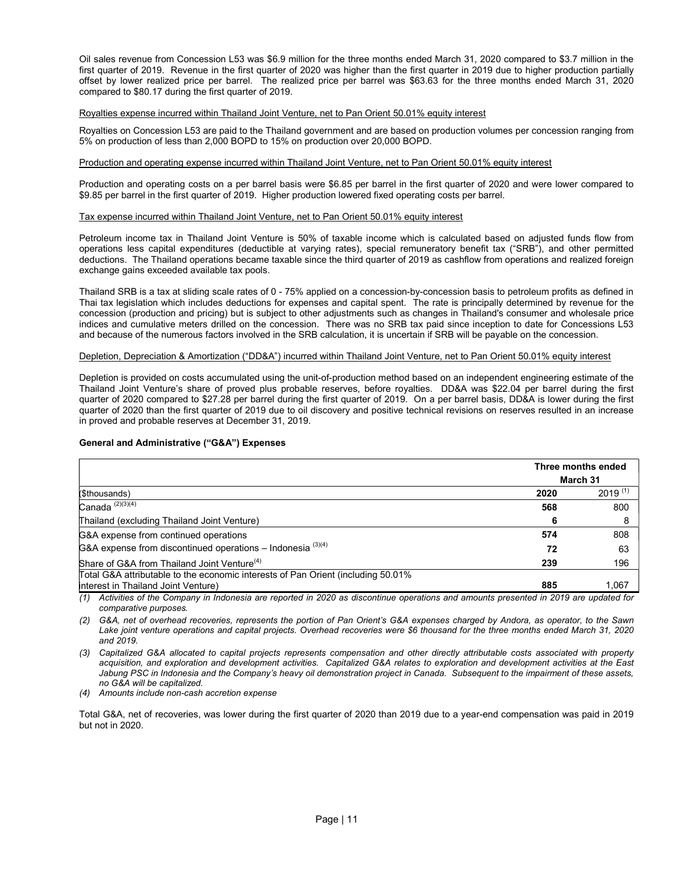Oil sales revenue from Concession L53 was \$6.9 million for the three months ended March 31, 2020 compared to \$3.7 million in the first quarter of 2019. Revenue in the first quarter of 2020 was higher than the first quarter in 2019 due to higher production partially offset by lower realized price per barrel. The realized price per barrel was \$63.63 for the three months ended March 31, 2020 compared to \$80.17 during the first quarter of 2019.

#### Royalties expense incurred within Thailand Joint Venture, net to Pan Orient 50.01% equity interest

Royalties on Concession L53 are paid to the Thailand government and are based on production volumes per concession ranging from 5% on production of less than 2,000 BOPD to 15% on production over 20,000 BOPD.

## Production and operating expense incurred within Thailand Joint Venture, net to Pan Orient 50.01% equity interest

Production and operating costs on a per barrel basis were \$6.85 per barrel in the first quarter of 2020 and were lower compared to \$9.85 per barrel in the first quarter of 2019. Higher production lowered fixed operating costs per barrel.

#### Tax expense incurred within Thailand Joint Venture, net to Pan Orient 50.01% equity interest

Petroleum income tax in Thailand Joint Venture is 50% of taxable income which is calculated based on adjusted funds flow from operations less capital expenditures (deductible at varying rates), special remuneratory benefit tax ("SRB"), and other permitted deductions. The Thailand operations became taxable since the third quarter of 2019 as cashflow from operations and realized foreign exchange gains exceeded available tax pools.

Thailand SRB is a tax at sliding scale rates of 0 - 75% applied on a concession-by-concession basis to petroleum profits as defined in Thai tax legislation which includes deductions for expenses and capital spent. The rate is principally determined by revenue for the concession (production and pricing) but is subject to other adjustments such as changes in Thailand's consumer and wholesale price indices and cumulative meters drilled on the concession. There was no SRB tax paid since inception to date for Concessions L53 and because of the numerous factors involved in the SRB calculation, it is uncertain if SRB will be payable on the concession.

#### Depletion, Depreciation & Amortization ("DD&A") incurred within Thailand Joint Venture, net to Pan Orient 50.01% equity interest

Depletion is provided on costs accumulated using the unit-of-production method based on an independent engineering estimate of the Thailand Joint Venture's share of proved plus probable reserves, before royalties. DD&A was \$22.04 per barrel during the first quarter of 2020 compared to \$27.28 per barrel during the first quarter of 2019. On a per barrel basis, DD&A is lower during the first quarter of 2020 than the first quarter of 2019 due to oil discovery and positive technical revisions on reserves resulted in an increase in proved and probable reserves at December 31, 2019.

## General and Administrative ("G&A") Expenses

|          | Three months ended |
|----------|--------------------|
| March 31 |                    |
| 2020     | $2019^{(1)}$       |
| 568      | 800                |
| O        |                    |
| 574      | 808                |
| 72       | 63                 |
| 239      | 196                |
|          |                    |
| 885      | 1,067              |
|          |                    |

(1) Activities of the Company in Indonesia are reported in 2020 as discontinue operations and amounts presented in 2019 are updated for comparative purposes.

(2) G&A, net of overhead recoveries, represents the portion of Pan Orient's G&A expenses charged by Andora, as operator, to the Sawn Lake joint venture operations and capital projects. Overhead recoveries were \$6 thousand for the three months ended March 31, 2020 and 2019.

(3) Capitalized G&A allocated to capital projects represents compensation and other directly attributable costs associated with property acquisition, and exploration and development activities. Capitalized G&A relates to exploration and development activities at the East Jabung PSC in Indonesia and the Company's heavy oil demonstration project in Canada. Subsequent to the impairment of these assets, no G&A will be capitalized.

(4) Amounts include non-cash accretion expense

Total G&A, net of recoveries, was lower during the first quarter of 2020 than 2019 due to a year-end compensation was paid in 2019 but not in 2020.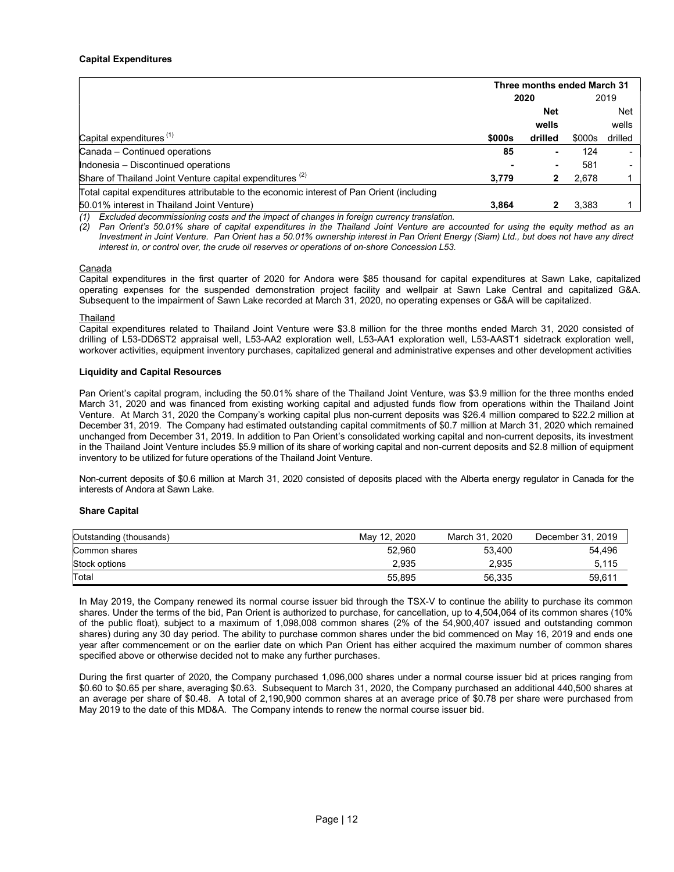|                                                                                           | Three months ended March 31 |         |        |         |  |
|-------------------------------------------------------------------------------------------|-----------------------------|---------|--------|---------|--|
|                                                                                           | 2020                        |         |        | 2019    |  |
|                                                                                           | <b>Net</b>                  |         |        | Net     |  |
|                                                                                           |                             | wells   |        | wells   |  |
| Capital expenditures <sup>(1)</sup>                                                       | \$000s                      | drilled | \$000s | drilled |  |
| Canada - Continued operations                                                             | 85                          |         | 124    |         |  |
| Indonesia - Discontinued operations                                                       |                             |         | 581    |         |  |
| Share of Thailand Joint Venture capital expenditures <sup>(2)</sup>                       | 3.779                       |         | 2.678  |         |  |
| Total capital expenditures attributable to the economic interest of Pan Orient (including |                             |         |        |         |  |
| 50.01% interest in Thailand Joint Venture)                                                | 3.864                       |         | 3.383  |         |  |

Excluded decommissioning costs and the impact of changes in foreign currency translation.

Pan Orient's 50.01% share of capital expenditures in the Thailand Joint Venture are accounted for using the equity method as an Investment in Joint Venture. Pan Orient has a 50.01% ownership interest in Pan Orient Energy (Siam) Ltd., but does not have any direct interest in, or control over, the crude oil reserves or operations of on-shore Concession L53.

#### Canada

Capital expenditures in the first quarter of 2020 for Andora were \$85 thousand for capital expenditures at Sawn Lake, capitalized operating expenses for the suspended demonstration project facility and wellpair at Sawn Lake Central and capitalized G&A. Subsequent to the impairment of Sawn Lake recorded at March 31, 2020, no operating expenses or G&A will be capitalized.

#### Thailand

Capital expenditures related to Thailand Joint Venture were \$3.8 million for the three months ended March 31, 2020 consisted of drilling of L53-DD6ST2 appraisal well, L53-AA2 exploration well, L53-AA1 exploration well, L53-AAST1 sidetrack exploration well, workover activities, equipment inventory purchases, capitalized general and administrative expenses and other development activities

#### Liquidity and Capital Resources

Pan Orient's capital program, including the 50.01% share of the Thailand Joint Venture, was \$3.9 million for the three months ended March 31, 2020 and was financed from existing working capital and adjusted funds flow from operations within the Thailand Joint Venture. At March 31, 2020 the Company's working capital plus non-current deposits was \$26.4 million compared to \$22.2 million at December 31, 2019. The Company had estimated outstanding capital commitments of \$0.7 million at March 31, 2020 which remained unchanged from December 31, 2019. In addition to Pan Orient's consolidated working capital and non-current deposits, its investment in the Thailand Joint Venture includes \$5.9 million of its share of working capital and non-current deposits and \$2.8 million of equipment inventory to be utilized for future operations of the Thailand Joint Venture.

Non-current deposits of \$0.6 million at March 31, 2020 consisted of deposits placed with the Alberta energy regulator in Canada for the interests of Andora at Sawn Lake.

#### Share Capital

| Outstanding (thousands) | May 12, 2020 | March 31, 2020 | December 31, 2019 |
|-------------------------|--------------|----------------|-------------------|
| Common shares           | 52.960       | 53.400         | 54.496            |
| Stock options           | 2.935        | 2.935          | 5,115             |
| Total                   | 55.895       | 56.335         | 59.611            |

In May 2019, the Company renewed its normal course issuer bid through the TSX-V to continue the ability to purchase its common shares. Under the terms of the bid, Pan Orient is authorized to purchase, for cancellation, up to 4,504,064 of its common shares (10% of the public float), subject to a maximum of 1,098,008 common shares (2% of the 54,900,407 issued and outstanding common shares) during any 30 day period. The ability to purchase common shares under the bid commenced on May 16, 2019 and ends one year after commencement or on the earlier date on which Pan Orient has either acquired the maximum number of common shares specified above or otherwise decided not to make any further purchases.

During the first quarter of 2020, the Company purchased 1,096,000 shares under a normal course issuer bid at prices ranging from \$0.60 to \$0.65 per share, averaging \$0.63. Subsequent to March 31, 2020, the Company purchased an additional 440,500 shares at an average per share of \$0.48. A total of 2,190,900 common shares at an average price of \$0.78 per share were purchased from May 2019 to the date of this MD&A. The Company intends to renew the normal course issuer bid.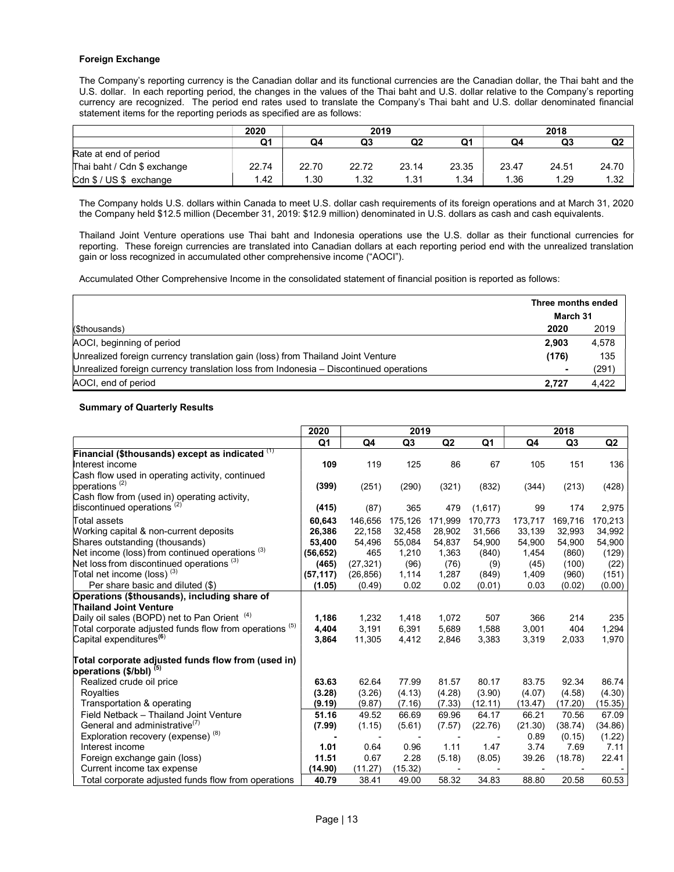## Foreign Exchange

The Company's reporting currency is the Canadian dollar and its functional currencies are the Canadian dollar, the Thai baht and the U.S. dollar. In each reporting period, the changes in the values of the Thai baht and U.S. dollar relative to the Company's reporting currency are recognized. The period end rates used to translate the Company's Thai baht and U.S. dollar denominated financial statement items for the reporting periods as specified are as follows:

|                             | 2020  | 2019  |       |       |       | 2018  |       |       |
|-----------------------------|-------|-------|-------|-------|-------|-------|-------|-------|
|                             | Q1    | Q4    | Q3    | Q2    | Q1    | Q4    | Q3    | Q2    |
| Rate at end of period       |       |       |       |       |       |       |       |       |
| Thai baht / Cdn \$ exchange | 22.74 | 22.70 | 22.72 | 23.14 | 23.35 | 23.47 | 24.51 | 24.70 |
| Cdn \$ / US \$ exchange     | .42   | .30   | 1.32  | 1.31  | 1.34  | 1.36  | 1.29  | 1.32  |

The Company holds U.S. dollars within Canada to meet U.S. dollar cash requirements of its foreign operations and at March 31, 2020 the Company held \$12.5 million (December 31, 2019: \$12.9 million) denominated in U.S. dollars as cash and cash equivalents.

Thailand Joint Venture operations use Thai baht and Indonesia operations use the U.S. dollar as their functional currencies for reporting. These foreign currencies are translated into Canadian dollars at each reporting period end with the unrealized translation gain or loss recognized in accumulated other comprehensive income ("AOCI").

Accumulated Other Comprehensive Income in the consolidated statement of financial position is reported as follows:

|                                                                                       | Three months ended |       |
|---------------------------------------------------------------------------------------|--------------------|-------|
|                                                                                       | March 31           |       |
| (\$thousands)                                                                         | 2020               | 2019  |
| AOCI, beginning of period                                                             | 2.903              | 4.578 |
| Unrealized foreign currency translation gain (loss) from Thailand Joint Venture       | (176)              | 135   |
| Unrealized foreign currency translation loss from Indonesia - Discontinued operations | $\blacksquare$     | (291) |
| AOCI, end of period                                                                   | 2.727              | 4.422 |

#### Summary of Quarterly Results

|                                                              | 2020      |           | 2019           |                          |         |         | 2018           |         |
|--------------------------------------------------------------|-----------|-----------|----------------|--------------------------|---------|---------|----------------|---------|
|                                                              | Q1        | Q4        | Q <sub>3</sub> | Q2                       | Q1      | Q4      | Q <sub>3</sub> | Q2      |
| Financial (\$thousands) except as indicated $(1)$            |           |           |                |                          |         |         |                |         |
| Interest income                                              | 109       | 119       | 125            | 86                       | 67      | 105     | 151            | 136     |
| Cash flow used in operating activity, continued              |           |           |                |                          |         |         |                |         |
| operations <sup>(2)</sup>                                    | (399)     | (251)     | (290)          | (321)                    | (832)   | (344)   | (213)          | (428)   |
| Cash flow from (used in) operating activity,                 |           |           |                |                          |         |         |                |         |
| discontinued operations <sup>(2)</sup>                       | (415)     | (87)      | 365            | 479                      | (1,617) | 99      | 174            | 2,975   |
| Total assets                                                 | 60,643    | 146,656   | 175,126        | 171,999                  | 170,773 | 173,717 | 169,716        | 170,213 |
| Working capital & non-current deposits                       | 26,386    | 22,158    | 32,458         | 28,902                   | 31,566  | 33,139  | 32.993         | 34,992  |
| Shares outstanding (thousands)                               | 53,400    | 54,496    | 55,084         | 54,837                   | 54,900  | 54,900  | 54,900         | 54,900  |
| Net income (loss) from continued operations $(3)$            | (56, 652) | 465       | 1,210          | 1,363                    | (840)   | 1,454   | (860)          | (129)   |
| Net loss from discontinued operations (3)                    | (465)     | (27, 321) | (96)           | (76)                     | (9)     | (45)    | (100)          | (22)    |
| Total net income (loss) $(3)$                                | (57, 117) | (26, 856) | 1,114          | 1,287                    | (849)   | 1,409   | (960)          | (151)   |
| Per share basic and diluted (\$)                             | (1.05)    | (0.49)    | 0.02           | 0.02                     | (0.01)  | 0.03    | (0.02)         | (0.00)  |
| Operations (\$thousands), including share of                 |           |           |                |                          |         |         |                |         |
| <b>Thailand Joint Venture</b>                                |           |           |                |                          |         |         |                |         |
| Daily oil sales (BOPD) net to Pan Orient <sup>(4)</sup>      | 1,186     | 1,232     | 1,418          | 1,072                    | 507     | 366     | 214            | 235     |
| Total corporate adjusted funds flow from operations $^{(5)}$ | 4,404     | 3.191     | 6.391          | 5,689                    | 1.588   | 3.001   | 404            | 1,294   |
| Capital expenditures <sup>(6)</sup>                          | 3,864     | 11,305    | 4,412          | 2,846                    | 3,383   | 3,319   | 2,033          | 1,970   |
| Total corporate adjusted funds flow from (used in)           |           |           |                |                          |         |         |                |         |
| operations (\$/bbl) <sup>(5)</sup>                           |           |           |                |                          |         |         |                |         |
| Realized crude oil price                                     | 63.63     | 62.64     | 77.99          | 81.57                    | 80.17   | 83.75   | 92.34          | 86.74   |
| Royalties                                                    | (3.28)    | (3.26)    | (4.13)         | (4.28)                   | (3.90)  | (4.07)  | (4.58)         | (4.30)  |
| Transportation & operating                                   | (9.19)    | (9.87)    | (7.16)         | (7.33)                   | (12.11) | (13.47) | (17.20)        | (15.35) |
| Field Netback - Thailand Joint Venture                       | 51.16     | 49.52     | 66.69          | 69.96                    | 64.17   | 66.21   | 70.56          | 67.09   |
| General and administrative <sup>(1)</sup>                    | (7.99)    | (1.15)    | (5.61)         | (7.57)                   | (22.76) | (21.30) | (38.74)        | (34.86) |
| Exploration recovery (expense) <sup>(8)</sup>                |           |           |                |                          |         | 0.89    | (0.15)         | (1.22)  |
| Interest income                                              | 1.01      | 0.64      | 0.96           | 1.11                     | 1.47    | 3.74    | 7.69           | 7.11    |
| Foreign exchange gain (loss)                                 | 11.51     | 0.67      | 2.28           | (5.18)                   | (8.05)  | 39.26   | (18.78)        | 22.41   |
| Current income tax expense                                   | (14.90)   | (11.27)   | (15.32)        | $\overline{\phantom{a}}$ |         |         |                |         |
| Total corporate adjusted funds flow from operations          | 40.79     | 38.41     | 49.00          | 58.32                    | 34.83   | 88.80   | 20.58          | 60.53   |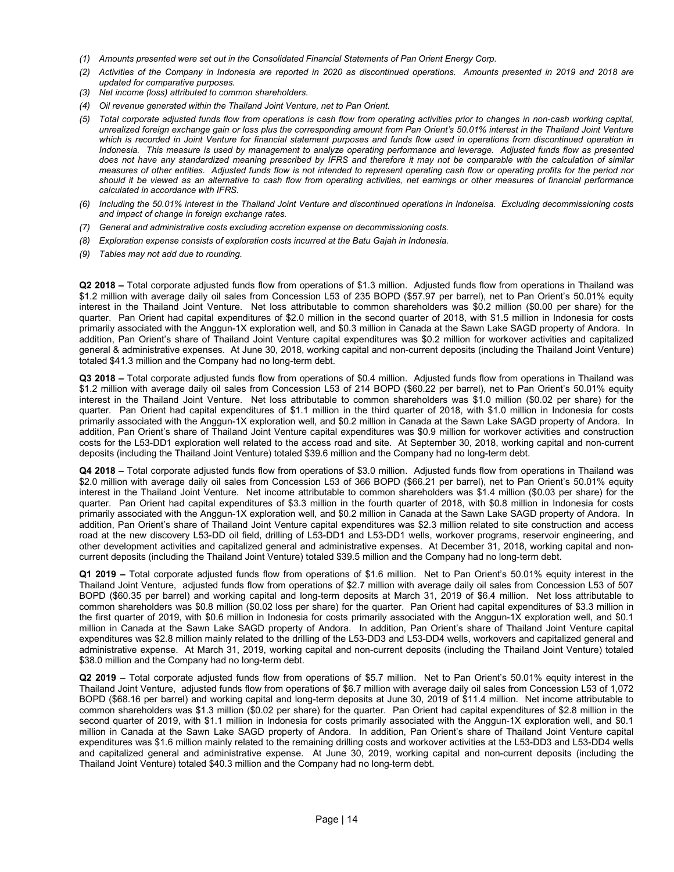- (1) Amounts presented were set out in the Consolidated Financial Statements of Pan Orient Energy Corp.
- (2) Activities of the Company in Indonesia are reported in 2020 as discontinued operations. Amounts presented in 2019 and 2018 are updated for comparative purposes.
- (3) Net income (loss) attributed to common shareholders.
- (4) Oil revenue generated within the Thailand Joint Venture, net to Pan Orient.
- (5) Total corporate adjusted funds flow from operations is cash flow from operating activities prior to changes in non-cash working capital, unrealized foreign exchange gain or loss plus the corresponding amount from Pan Orient's 50.01% interest in the Thailand Joint Venture which is recorded in Joint Venture for financial statement purposes and funds flow used in operations from discontinued operation in Indonesia. This measure is used by management to analyze operating performance and leverage. Adjusted funds flow as presented does not have any standardized meaning prescribed by IFRS and therefore it may not be comparable with the calculation of similar measures of other entities. Adjusted funds flow is not intended to represent operating cash flow or operating profits for the period nor should it be viewed as an alternative to cash flow from operating activities, net earnings or other measures of financial performance calculated in accordance with IFRS.
- (6) Including the 50.01% interest in the Thailand Joint Venture and discontinued operations in Indoneisa. Excluding decommissioning costs and impact of change in foreign exchange rates.
- (7) General and administrative costs excluding accretion expense on decommissioning costs.
- (8) Exploration expense consists of exploration costs incurred at the Batu Gajah in Indonesia.
- (9) Tables may not add due to rounding.

Q2 2018 – Total corporate adjusted funds flow from operations of \$1.3 million. Adjusted funds flow from operations in Thailand was \$1.2 million with average daily oil sales from Concession L53 of 235 BOPD (\$57.97 per barrel), net to Pan Orient's 50.01% equity interest in the Thailand Joint Venture. Net loss attributable to common shareholders was \$0.2 million (\$0.00 per share) for the quarter. Pan Orient had capital expenditures of \$2.0 million in the second quarter of 2018, with \$1.5 million in Indonesia for costs primarily associated with the Anggun-1X exploration well, and \$0.3 million in Canada at the Sawn Lake SAGD property of Andora. In addition, Pan Orient's share of Thailand Joint Venture capital expenditures was \$0.2 million for workover activities and capitalized general & administrative expenses. At June 30, 2018, working capital and non-current deposits (including the Thailand Joint Venture) totaled \$41.3 million and the Company had no long-term debt.

Q3 2018 – Total corporate adjusted funds flow from operations of \$0.4 million. Adjusted funds flow from operations in Thailand was \$1.2 million with average daily oil sales from Concession L53 of 214 BOPD (\$60.22 per barrel), net to Pan Orient's 50.01% equity interest in the Thailand Joint Venture. Net loss attributable to common shareholders was \$1.0 million (\$0.02 per share) for the quarter. Pan Orient had capital expenditures of \$1.1 million in the third quarter of 2018, with \$1.0 million in Indonesia for costs primarily associated with the Anggun-1X exploration well, and \$0.2 million in Canada at the Sawn Lake SAGD property of Andora. In addition, Pan Orient's share of Thailand Joint Venture capital expenditures was \$0.9 million for workover activities and construction costs for the L53-DD1 exploration well related to the access road and site. At September 30, 2018, working capital and non-current deposits (including the Thailand Joint Venture) totaled \$39.6 million and the Company had no long-term debt.

Q4 2018 – Total corporate adjusted funds flow from operations of \$3.0 million. Adjusted funds flow from operations in Thailand was \$2.0 million with average daily oil sales from Concession L53 of 366 BOPD (\$66.21 per barrel), net to Pan Orient's 50.01% equity interest in the Thailand Joint Venture. Net income attributable to common shareholders was \$1.4 million (\$0.03 per share) for the quarter. Pan Orient had capital expenditures of \$3.3 million in the fourth quarter of 2018, with \$0.8 million in Indonesia for costs primarily associated with the Anggun-1X exploration well, and \$0.2 million in Canada at the Sawn Lake SAGD property of Andora. In addition, Pan Orient's share of Thailand Joint Venture capital expenditures was \$2.3 million related to site construction and access road at the new discovery L53-DD oil field, drilling of L53-DD1 and L53-DD1 wells, workover programs, reservoir engineering, and other development activities and capitalized general and administrative expenses. At December 31, 2018, working capital and noncurrent deposits (including the Thailand Joint Venture) totaled \$39.5 million and the Company had no long-term debt.

Q1 2019 – Total corporate adjusted funds flow from operations of \$1.6 million. Net to Pan Orient's 50.01% equity interest in the Thailand Joint Venture, adjusted funds flow from operations of \$2.7 million with average daily oil sales from Concession L53 of 507 BOPD (\$60.35 per barrel) and working capital and long-term deposits at March 31, 2019 of \$6.4 million. Net loss attributable to common shareholders was \$0.8 million (\$0.02 loss per share) for the quarter. Pan Orient had capital expenditures of \$3.3 million in the first quarter of 2019, with \$0.6 million in Indonesia for costs primarily associated with the Anggun-1X exploration well, and \$0.1 million in Canada at the Sawn Lake SAGD property of Andora. In addition, Pan Orient's share of Thailand Joint Venture capital expenditures was \$2.8 million mainly related to the drilling of the L53-DD3 and L53-DD4 wells, workovers and capitalized general and administrative expense. At March 31, 2019, working capital and non-current deposits (including the Thailand Joint Venture) totaled \$38.0 million and the Company had no long-term debt.

Q2 2019 – Total corporate adjusted funds flow from operations of \$5.7 million. Net to Pan Orient's 50.01% equity interest in the Thailand Joint Venture, adjusted funds flow from operations of \$6.7 million with average daily oil sales from Concession L53 of 1,072 BOPD (\$68.16 per barrel) and working capital and long-term deposits at June 30, 2019 of \$11.4 million. Net income attributable to common shareholders was \$1.3 million (\$0.02 per share) for the quarter. Pan Orient had capital expenditures of \$2.8 million in the second quarter of 2019, with \$1.1 million in Indonesia for costs primarily associated with the Anggun-1X exploration well, and \$0.1 million in Canada at the Sawn Lake SAGD property of Andora. In addition, Pan Orient's share of Thailand Joint Venture capital expenditures was \$1.6 million mainly related to the remaining drilling costs and workover activities at the L53-DD3 and L53-DD4 wells and capitalized general and administrative expense. At June 30, 2019, working capital and non-current deposits (including the Thailand Joint Venture) totaled \$40.3 million and the Company had no long-term debt.